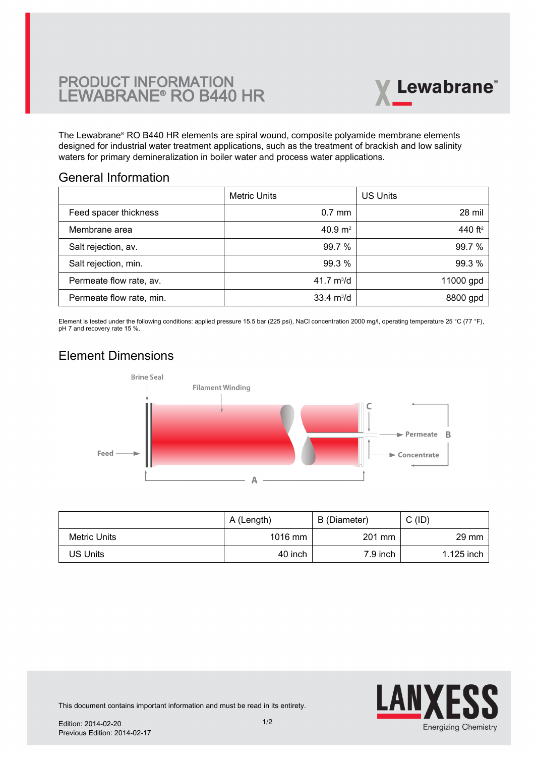# **PRODUCT INFORMATION<br>LEWABRANE® RO B440 HR**



The Lewabrane® RO B440 HR elements are spiral wound, composite polyamide membrane elements [designed for industrial water treatment applications, such as the treatment of brackish and low salinity](https://www.pureaqua.com/lanxess-lewabrane-b440-hr-membrane/) waters for primary demineralization in boiler water and process water applications.

### General Information

|                          | <b>Metric Units</b>         | <b>US Units</b>     |
|--------------------------|-----------------------------|---------------------|
| Feed spacer thickness    | $0.7$ mm                    | 28 mil              |
| Membrane area            | 40.9 $m2$                   | 440 ft <sup>2</sup> |
| Salt rejection, av.      | 99.7%                       | 99.7%               |
| Salt rejection, min.     | 99.3 %                      | 99.3%               |
| Permeate flow rate, av.  | 41.7 $m^3/d$                | 11000 gpd           |
| Permeate flow rate, min. | $33.4 \text{ m}^3/\text{d}$ | 8800 gpd            |

Element is tested under the following conditions: applied pressure 15.5 bar (225 psi), NaCl concentration 2000 mg/l, operating temperature 25 °C (77 °F), pH 7 and recovery rate 15 %.

### Element Dimensions



|              | A (Length) | B (Diameter) | C(ID)           |
|--------------|------------|--------------|-----------------|
| Metric Units | $1016$ mm  | 201 mm       | $29 \text{ mm}$ |
| JS Units     | 40 inch    | 7.9 inch     | $1.125$ inch    |



This document contains important information and must be read in its entirety.